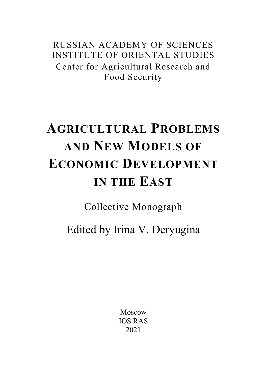RUSSIAN ACADEMY OF SCIENCES INSTITUTE OF ORIENTAL STUDIES Center for Agricultural Research and Food Security

# **AGRICULTURAL PROBLEMS AND NEW MODELS OF ECONOMIC DEVELOPMENT IN THE EAST**

Collective Monograph

Edited by Irina V. Deryugina

Moscow IOS RAS 2021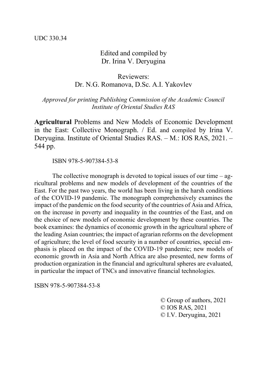#### Edited and compiled by Dr. Irina V. Deryugina

### Reviewers: Dr. N.G. Romanova, D.Sc. A.I. Yakovlev

*Approved for printing Publishing Commission of the Academic Council Institute of Oriental Studies RAS*

**Agricultural** Problems and New Models of Economic Development in the East: Collective Monograph. / Ed. and compiled by Irina V. Deryugina. Institute of Oriental Studies RAS. – M.: IOS RAS, 2021. – 544 pp.

ISBN 978-5-907384-53-8

The collective monograph is devoted to topical issues of our time  $-$  agricultural problems and new models of development of the countries of the East. For the past two years, the world has been living in the harsh conditions of the COVID-19 pandemic. The monograph comprehensively examines the impact of the pandemic on the food security of the countries of Asia and Africa, on the increase in poverty and inequality in the countries of the East, and on the choice of new models of economic development by these countries. The book examines: the dynamics of economic growth in the agricultural sphere of the leading Asian countries; the impact of agrarian reforms on the development of agriculture; the level of food security in a number of countries, special emphasis is placed on the impact of the COVID-19 pandemic; new models of economic growth in Asia and North Africa are also presented, new forms of production organization in the financial and agricultural spheres are evaluated, in particular the impact of TNCs and innovative financial technologies.

ISBN 978-5-907384-53-8

© Group of authors, 2021 © IOS RAS, 2021 © I.V. Deryugina, 2021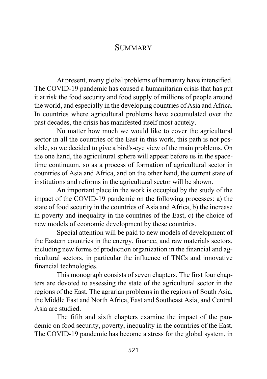## **SUMMARY**

At present, many global problems of humanity have intensified. The COVID-19 pandemic has caused a humanitarian crisis that has put it at risk the food security and food supply of millions of people around the world, and especially in the developing countries of Asia and Africa. In countries where agricultural problems have accumulated over the past decades, the crisis has manifested itself most acutely.

No matter how much we would like to cover the agricultural sector in all the countries of the East in this work, this path is not possible, so we decided to give a bird's-eye view of the main problems. On the one hand, the agricultural sphere will appear before us in the spacetime continuum, so as a process of formation of agricultural sector in countries of Asia and Africa, and on the other hand, the current state of institutions and reforms in the agricultural sector will be shown.

An important place in the work is occupied by the study of the impact of the COVID-19 pandemic on the following processes: a) the state of food security in the countries of Asia and Africa, b) the increase in poverty and inequality in the countries of the East, c) the choice of new models of economic development by these countries.

Special attention will be paid to new models of development of the Eastern countries in the energy, finance, and raw materials sectors, including new forms of production organization in the financial and agricultural sectors, in particular the influence of TNCs and innovative financial technologies.

This monograph consists of seven chapters. The first four chapters are devoted to assessing the state of the agricultural sector in the regions of the East. The agrarian problems in the regions of South Asia, the Middle East and North Africa, East and Southeast Asia, and Central Asia are studied.

The fifth and sixth chapters examine the impact of the pandemic on food security, poverty, inequality in the countries of the East. The COVID-19 pandemic has become a stress for the global system, in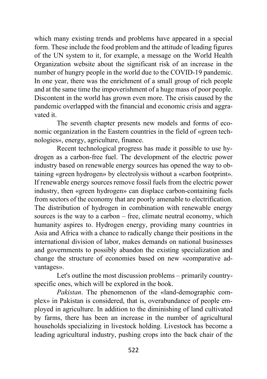which many existing trends and problems have appeared in a special form. These include the food problem and the attitude of leading figures of the UN system to it, for example, a message on the World Health Organization website about the significant risk of an increase in the number of hungry people in the world due to the COVID-19 pandemic. In one year, there was the enrichment of a small group of rich people and at the same time the impoverishment of a huge mass of poor people. Discontent in the world has grown even more. The crisis caused by the pandemic overlapped with the financial and economic crisis and aggravated it.

The seventh chapter presents new models and forms of economic organization in the Eastern countries in the field of «green technologies», energy, agriculture, finance.

Recent technological progress has made it possible to use hydrogen as a carbon-free fuel. The development of the electric power industry based on renewable energy sources has opened the way to obtaining «green hydrogen» by electrolysis without a «carbon footprint». If renewable energy sources remove fossil fuels from the electric power industry, then «green hydrogen» can displace carbon-containing fuels from sectors of the economy that are poorly amenable to electrification. The distribution of hydrogen in combination with renewable energy sources is the way to a carbon – free, climate neutral economy, which humanity aspires to. Hydrogen energy, providing many countries in Asia and Africa with a chance to radically change their positions in the international division of labor, makes demands on national businesses and governments to possibly abandon the existing specialization and change the structure of economies based on new «comparative advantages».

Let's outline the most discussion problems – primarily countryspecific ones, which will be explored in the book.

*Pakistan*. The phenomenon of the «land-demographic complex» in Pakistan is considered, that is, overabundance of people employed in agriculture. In addition to the diminishing of land cultivated by farms, there has been an increase in the number of agricultural households specializing in livestock holding. Livestock has become a leading agricultural industry, pushing crops into the back chair of the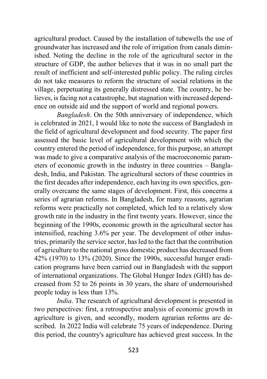agricultural product. Caused by the installation of tubewells the use of groundwater has increased and the role of irrigation from canals diminished. Noting the decline in the role of the agricultural sector in the structure of GDP, the author believes that it was in no small part the result of inefficient and self-interested public policy. The ruling circles do not take measures to reform the structure of social relations in the village, perpetuating its generally distressed state. The country, he believes, is facing not a catastrophe, but stagnation with increased dependence on outside aid and the support of world and regional powers.

*Bangladesh*. On the 50th anniversary of independence, which is celebrated in 2021, I would like to note the success of Bangladesh in the field of agricultural development and food security. The paper first assessed the basic level of agricultural development with which the country entered the period of independence, for this purpose, an attempt was made to give a comparative analysis of the macroeconomic parameters of economic growth in the industry in three countries – Bangladesh, India, and Pakistan. The agricultural sectors of these countries in the first decades after independence, each having its own specifics, generally overcame the same stages of development. First, this concerns a series of agrarian reforms. In Bangladesh, for many reasons, agrarian reforms were practically not completed, which led to a relatively slow growth rate in the industry in the first twenty years. However, since the beginning of the 1990s, economic growth in the agricultural sector has intensified, reaching 3.6% per year. The development of other industries, primarily the service sector, has led to the fact that the contribution of agriculture to the national gross domestic product has decreased from 42% (1970) to 13% (2020). Since the 1990s, successful hunger eradication programs have been carried out in Bangladesh with the support of international organizations. The Global Hunger Index (GHI) has decreased from 52 to 26 points in 30 years, the share of undernourished people today is less than 13%.

*India*. The research of agricultural development is presented in two perspectives: first, a retrospective analysis of economic growth in agriculture is given, and secondly, modern agrarian reforms are described. In 2022 India will celebrate 75 years of independence. During this period, the country's agriculture has achieved great success. In the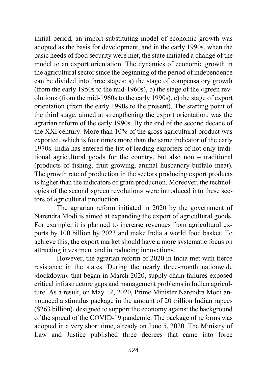initial period, an import-substituting model of economic growth was adopted as the basis for development, and in the early 1990s, when the basic needs of food security were met, the state initiated a change of the model to an export orientation. The dynamics of economic growth in the agricultural sector since the beginning of the period of independence can be divided into three stages: a) the stage of compensatory growth (from the early 1950s to the mid-1960s), b) the stage of the «green revolution» (from the mid-1960s to the early 1990s), c) the stage of export orientation (from the early 1990s to the present). The starting point of the third stage, aimed at strengthening the export orientation, was the agrarian reform of the early 1990s. By the end of the second decade of the XXI century. More than 10% of the gross agricultural product was exported, which is four times more than the same indicator of the early 1970s. India has entered the list of leading exporters of not only traditional agricultural goods for the country, but also non – traditional (products of fishing, fruit growing, animal husbandry-buffalo meat). The growth rate of production in the sectors producing export products is higher than the indicators of grain production. Moreover, the technologies of the second «green revolution» were introduced into these sectors of agricultural production.

The agrarian reform initiated in 2020 by the government of Narendra Modi is aimed at expanding the export of agricultural goods. For example, it is planned to increase revenues from agricultural exports by 100 billion by 2023 and make India a world food basket. To achieve this, the export market should have a more systematic focus on attracting investment and introducing innovations.

However, the agrarian reform of 2020 in India met with fierce resistance in the states. During the nearly three-month nationwide «lockdown» that began in March 2020, supply chain failures exposed critical infrastructure gaps and management problems in Indian agriculture. As a result, on May 12, 2020, Prime Minister Narendra Modi announced a stimulus package in the amount of 20 trillion Indian rupees (\$263 billion), designed to support the economy against the background of the spread of the COVID-19 pandemic. The package of reforms was adopted in a very short time, already on June 5, 2020. The Ministry of Law and Justice published three decrees that came into force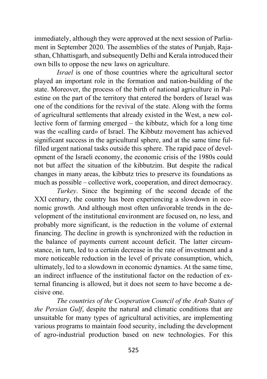immediately, although they were approved at the next session of Parliament in September 2020. The assemblies of the states of Punjab, Rajasthan, Chhattisgarh, and subsequently Delhi and Kerala introduced their own bills to oppose the new laws on agriculture.

*Israel* is one of those countries where the agricultural sector played an important role in the formation and nation-building of the state. Moreover, the process of the birth of national agriculture in Palestine on the part of the territory that entered the borders of Israel was one of the conditions for the revival of the state. Along with the forms of agricultural settlements that already existed in the West, a new collective form of farming emerged – the kibbutz, which for a long time was the «calling card» of Israel. The Kibbutz movement has achieved significant success in the agricultural sphere, and at the same time fulfilled urgent national tasks outside this sphere. The rapid pace of development of the Israeli economy, the economic crisis of the 1980s could not but affect the situation of the kibbutzim. But despite the radical changes in many areas, the kibbutz tries to preserve its foundations as much as possible – collective work, cooperation, and direct democracy.

*Turkey*. Since the beginning of the second decade of the XXI century, the country has been experiencing a slowdown in economic growth. And although most often unfavorable trends in the development of the institutional environment are focused on, no less, and probably more significant, is the reduction in the volume of external financing. The decline in growth is synchronized with the reduction in the balance of payments current account deficit. The latter circumstance, in turn, led to a certain decrease in the rate of investment and a more noticeable reduction in the level of private consumption, which, ultimately, led to a slowdown in economic dynamics. At the same time, an indirect influence of the institutional factor on the reduction of external financing is allowed, but it does not seem to have become a decisive one.

*The countries of the Cooperation Council of the Arab States of the Persian Gulf*, despite the natural and climatic conditions that are unsuitable for many types of agricultural activities, are implementing various programs to maintain food security, including the development of agro-industrial production based on new technologies. For this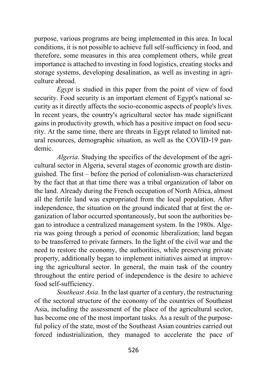purpose, various programs are being implemented in this area. In local conditions, it is not possible to achieve full self-sufficiency in food, and therefore, some measures in this area complement others, while great importance is attached to investing in food logistics, creating stocks and storage systems, developing desalination, as well as investing in agriculture abroad.

*Egypt* is studied in this paper from the point of view of food security. Food security is an important element of Egypt's national security as it directly affects the socio-economic aspects of people's lives. In recent years, the country's agricultural sector has made significant gains in productivity growth, which has a positive impact on food security. At the same time, there are threats in Egypt related to limited natural resources, demographic situation, as well as the COVID-19 pandemic.

*Algeria*. Studying the specifics of the development of the agricultural sector in Algeria, several stages of economic growth are distinguished. The first – before the period of colonialism-was characterized by the fact that at that time there was a tribal organization of labor on the land. Already during the French occupation of North Africa, almost all the fertile land was expropriated from the local population. After independence, the situation on the ground indicated that at first the organization of labor occurred spontaneously, but soon the authorities began to introduce a centralized management system. In the 1980s. Algeria was going through a period of economic liberalization; land began to be transferred to private farmers. In the light of the civil war and the need to restore the economy, the authorities, while preserving private property, additionally began to implement initiatives aimed at improving the agricultural sector. In general, the main task of the country throughout the entire period of independence is the desire to achieve food self-sufficiency.

*Southeast Asia*. In the last quarter of a century, the restructuring of the sectoral structure of the economy of the countries of Southeast Asia, including the assessment of the place of the agricultural sector, has become one of the most important tasks. As a result of the purposeful policy of the state, most of the Southeast Asian countries carried out forced industrialization, they managed to accelerate the pace of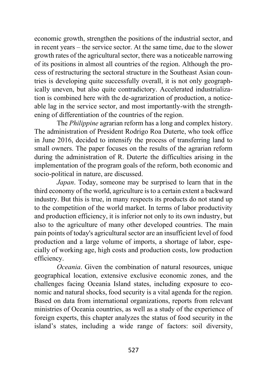economic growth, strengthen the positions of the industrial sector, and in recent years – the service sector. At the same time, due to the slower growth rates of the agricultural sector, there was a noticeable narrowing of its positions in almost all countries of the region. Although the process of restructuring the sectoral structure in the Southeast Asian countries is developing quite successfully overall, it is not only geographically uneven, but also quite contradictory. Accelerated industrialization is combined here with the de-agrarization of production, a noticeable lag in the service sector, and most importantly-with the strengthening of differentiation of the countries of the region.

The *Philippine* agrarian reform has a long and complex history. The administration of President Rodrigo Roa Duterte, who took office in June 2016, decided to intensify the process of transferring land to small owners. The paper focuses on the results of the agrarian reform during the administration of R. Duterte the difficulties arising in the implementation of the program goals of the reform, both economic and socio-political in nature, are discussed.

*Japan*. Today, someone may be surprised to learn that in the third economy of the world, agriculture is to a certain extent a backward industry. But this is true, in many respects its products do not stand up to the competition of the world market. In terms of labor productivity and production efficiency, it is inferior not only to its own industry, but also to the agriculture of many other developed countries. The main pain points of today's agricultural sector are an insufficient level of food production and a large volume of imports, a shortage of labor, especially of working age, high costs and production costs, low production efficiency.

*Oceania*. Given the combination of natural resources, unique geographical location, extensive exclusive economic zones, and the challenges facing Oceania Island states, including exposure to economic and natural shocks, food security is a vital agenda for the region. Based on data from international organizations, reports from relevant ministries of Oceania countries, as well as a study of the experience of foreign experts, this chapter analyzes the status of food security in the island's states, including a wide range of factors: soil diversity,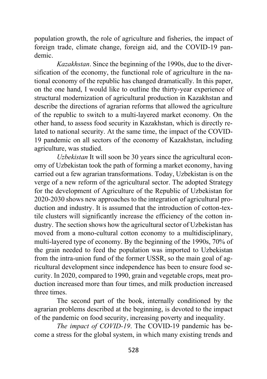population growth, the role of agriculture and fisheries, the impact of foreign trade, climate change, foreign aid, and the COVID-19 pandemic.

*Kazakhstan*. Since the beginning of the 1990s, due to the diversification of the economy, the functional role of agriculture in the national economy of the republic has changed dramatically. In this paper, on the one hand, I would like to outline the thirty-year experience of structural modernization of agricultural production in Kazakhstan and describe the directions of agrarian reforms that allowed the agriculture of the republic to switch to a multi-layered market economy. On the other hand, to assess food security in Kazakhstan, which is directly related to national security. At the same time, the impact of the COVID-19 pandemic on all sectors of the economy of Kazakhstan, including agriculture, was studied.

*Uzbekistan* It will soon be 30 years since the agricultural economy of Uzbekistan took the path of forming a market economy, having carried out a few agrarian transformations. Today, Uzbekistan is on the verge of a new reform of the agricultural sector. The adopted Strategy for the development of Agriculture of the Republic of Uzbekistan for 2020-2030 shows new approaches to the integration of agricultural production and industry. It is assumed that the introduction of cotton-textile clusters will significantly increase the efficiency of the cotton industry. The section shows how the agricultural sector of Uzbekistan has moved from a mono-cultural cotton economy to a multidisciplinary, multi-layered type of economy. By the beginning of the 1990s, 70% of the grain needed to feed the population was imported to Uzbekistan from the intra-union fund of the former USSR, so the main goal of agricultural development since independence has been to ensure food security. In 2020, compared to 1990, grain and vegetable crops, meat production increased more than four times, and milk production increased three times.

The second part of the book, internally conditioned by the agrarian problems described at the beginning, is devoted to the impact of the pandemic on food security, increasing poverty and inequality.

*The impact of COVID-19*. The COVID-19 pandemic has become a stress for the global system, in which many existing trends and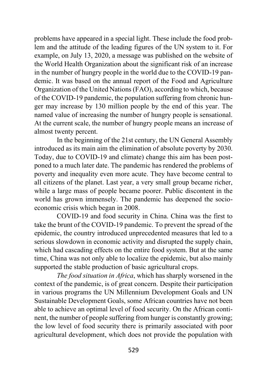problems have appeared in a special light. These include the food problem and the attitude of the leading figures of the UN system to it. For example, on July 13, 2020, a message was published on the website of the World Health Organization about the significant risk of an increase in the number of hungry people in the world due to the COVID-19 pandemic. It was based on the annual report of the Food and Agriculture Organization of the United Nations (FAO), according to which, because of the COVID-19 pandemic, the population suffering from chronic hunger may increase by 130 million people by the end of this year. The named value of increasing the number of hungry people is sensational. At the current scale, the number of hungry people means an increase of almost twenty percent.

In the beginning of the 21st century, the UN General Assembly introduced as its main aim the elimination of absolute poverty by 2030. Today, due to COVID-19 and climate) change this aim has been postponed to a much later date. The pandemic has rendered the problems of poverty and inequality even more acute. They have become central to all citizens of the planet. Last year, a very small group became richer, while a large mass of people became poorer. Public discontent in the world has grown immensely. The pandemic has deepened the socioeconomic crisis which began in 2008.

COVID-19 and food security in China. China was the first to take the brunt of the COVID-19 pandemic. To prevent the spread of the epidemic, the country introduced unprecedented measures that led to a serious slowdown in economic activity and disrupted the supply chain, which had cascading effects on the entire food system. But at the same time, China was not only able to localize the epidemic, but also mainly supported the stable production of basic agricultural crops.

*The food situation in Africa*, which has sharply worsened in the context of the pandemic, is of great concern. Despite their participation in various programs the UN Millennium Development Goals and UN Sustainable Development Goals, some African countries have not been able to achieve an optimal level of food security. On the African continent, the number of people suffering from hunger is constantly growing; the low level of food security there is primarily associated with poor agricultural development, which does not provide the population with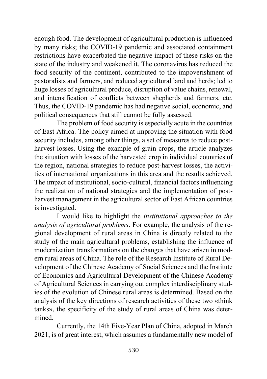enough food. The development of agricultural production is influenced by many risks; the COVID-19 pandemic and associated containment restrictions have exacerbated the negative impact of these risks on the state of the industry and weakened it. The coronavirus has reduced the food security of the continent, contributed to the impoverishment of pastoralists and farmers, and reduced agricultural land and herds; led to huge losses of agricultural produce, disruption of value chains, renewal, and intensification of conflicts between shepherds and farmers, etc. Thus, the COVID-19 pandemic has had negative social, economic, and political consequences that still cannot be fully assessed.

The problem of food security is especially acute in the countries of East Africa. The policy aimed at improving the situation with food security includes, among other things, a set of measures to reduce postharvest losses. Using the example of grain crops, the article analyzes the situation with losses of the harvested crop in individual countries of the region, national strategies to reduce post-harvest losses, the activities of international organizations in this area and the results achieved. The impact of institutional, socio-cultural, financial factors influencing the realization of national strategies and the implementation of postharvest management in the agricultural sector of East African countries is investigated.

I would like to highlight the *institutional approaches to the analysis of agricultural problems*. For example, the analysis of the regional development of rural areas in China is directly related to the study of the main agricultural problems, establishing the influence of modernization transformations on the changes that have arisen in modern rural areas of China. The role of the Research Institute of Rural Development of the Chinese Academy of Social Sciences and the Institute of Economics and Agricultural Development of the Chinese Academy of Agricultural Sciences in carrying out complex interdisciplinary studies of the evolution of Chinese rural areas is determined. Based on the analysis of the key directions of research activities of these two «think tanks», the specificity of the study of rural areas of China was determined.

Currently, the 14th Five-Year Plan of China, adopted in March 2021, is of great interest, which assumes a fundamentally new model of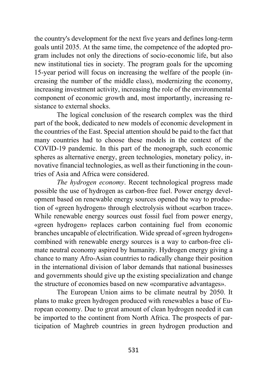the country's development for the next five years and defines long-term goals until 2035. At the same time, the competence of the adopted program includes not only the directions of socio-economic life, but also new institutional ties in society. The program goals for the upcoming 15-year period will focus on increasing the welfare of the people (increasing the number of the middle class), modernizing the economy, increasing investment activity, increasing the role of the environmental component of economic growth and, most importantly, increasing resistance to external shocks.

The logical conclusion of the research complex was the third part of the book, dedicated to new models of economic development in the countries of the East. Special attention should be paid to the fact that many countries had to choose these models in the context of the COVID-19 pandemic. In this part of the monograph, such economic spheres as alternative energy, green technologies, monetary policy, innovative financial technologies, as well as their functioning in the countries of Asia and Africa were considered.

*The hydrogen economy*. Recent technological progress made possible the use of hydrogen as carbon-free fuel. Power energy development based on renewable energy sources opened the way to production of «green hydrogen» through electrolysis without «carbon trace». While renewable energy sources oust fossil fuel from power energy, «green hydrogen» replaces carbon containing fuel from economic branches uncapable of electrification. Wide spread of «green hydrogen» combined with renewable energy sources is a way to carbon-free climate neutral economy aspired by humanity. Hydrogen energy giving a chance to many Afro-Asian countries to radically change their position in the international division of labor demands that national businesses and governments should give up the existing specialization and change the structure of economies based on new «comparative advantages».

The European Union aims to be climate neutral by 2050. It plans to make green hydrogen produced with renewables a base of European economy. Due to great amount of clean hydrogen needed it can be imported to the continent from North Africa. The prospects of participation of Maghreb countries in green hydrogen production and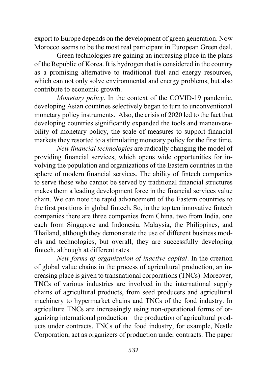export to Europe depends on the development of green generation. Now Morocco seems to be the most real participant in European Green deal.

Green technologies are gaining an increasing place in the plans of the Republic of Korea. It is hydrogen that is considered in the country as a promising alternative to traditional fuel and energy resources, which can not only solve environmental and energy problems, but also contribute to economic growth.

*Monetary policy*. In the context of the COVID-19 pandemic, developing Asian countries selectively began to turn to unconventional monetary policy instruments. Also, the crisis of 2020 led to the fact that developing countries significantly expanded the tools and maneuverability of monetary policy, the scale of measures to support financial markets they resorted to a stimulating monetary policy for the first time.

*New financial technologies* are radically changing the model of providing financial services, which opens wide opportunities for involving the population and organizations of the Eastern countries in the sphere of modern financial services. The ability of fintech companies to serve those who cannot be served by traditional financial structures makes them a leading development force in the financial services value chain. We can note the rapid advancement of the Eastern countries to the first positions in global fintech. So, in the top ten innovative fintech companies there are three companies from China, two from India, one each from Singapore and Indonesia. Malaysia, the Philippines, and Thailand, although they demonstrate the use of different business models and technologies, but overall, they are successfully developing fintech, although at different rates.

*New forms of organization of inactive capital*. In the creation of global value chains in the process of agricultural production, an increasing place is given to transnational corporations (TNCs). Moreover, TNCs of various industries are involved in the international supply chains of agricultural products, from seed producers and agricultural machinery to hypermarket chains and TNCs of the food industry. In agriculture TNCs are increasingly using non-operational forms of organizing international production – the production of agricultural products under contracts. TNCs of the food industry, for example, Nestle Corporation, act as organizers of production under contracts. The paper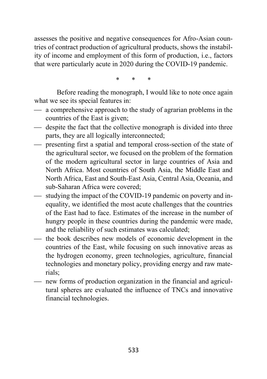assesses the positive and negative consequences for Afro-Asian countries of contract production of agricultural products, shows the instability of income and employment of this form of production, i.e., factors that were particularly acute in 2020 during the COVID-19 pandemic.

\* \* \*

Before reading the monograph, I would like to note once again what we see its special features in:

- $\frac{1}{2}$  a comprehensive approach to the study of agrarian problems in the countries of the East is given;
- despite the fact that the collective monograph is divided into three parts, they are all logically interconnected;
- ⎯ presenting first a spatial and temporal cross-section of the state of the agricultural sector, we focused on the problem of the formation of the modern agricultural sector in large countries of Asia and North Africa. Most countries of South Asia, the Middle East and North Africa, East and South-East Asia, Central Asia, Oceania, and sub-Saharan Africa were covered;
- $-$  studying the impact of the COVID-19 pandemic on poverty and inequality, we identified the most acute challenges that the countries of the East had to face. Estimates of the increase in the number of hungry people in these countries during the pandemic were made, and the reliability of such estimates was calculated;
- the book describes new models of economic development in the countries of the East, while focusing on such innovative areas as the hydrogen economy, green technologies, agriculture, financial technologies and monetary policy, providing energy and raw materials;
- $-$  new forms of production organization in the financial and agricultural spheres are evaluated the influence of TNCs and innovative financial technologies.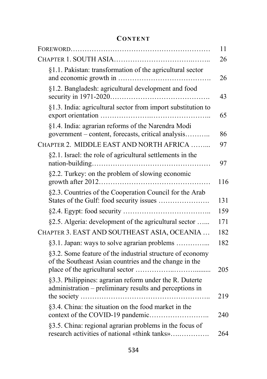## **CONTENT**

|                                                                                                                     | 11  |
|---------------------------------------------------------------------------------------------------------------------|-----|
|                                                                                                                     | 26  |
| §1.1. Pakistan: transformation of the agricultural sector                                                           | 26  |
| §1.2. Bangladesh: agricultural development and food                                                                 | 43  |
| §1.3. India: agricultural sector from import substitution to                                                        | 65  |
| §1.4. India: agrarian reforms of the Narendra Modi<br>government – content, forecasts, critical analysis            | 86  |
| CHAPTER 2. MIDDLE EAST AND NORTH AFRICA                                                                             | 97  |
| §2.1. Israel: the role of agricultural settlements in the                                                           | 97  |
| §2.2. Turkey: on the problem of slowing economic                                                                    | 116 |
| §2.3. Countries of the Cooperation Council for the Arab<br>States of the Gulf: food security issues                 | 131 |
|                                                                                                                     | 159 |
| §2.5. Algeria: development of the agricultural sector                                                               | 171 |
| CHAPTER 3. EAST AND SOUTHEAST ASIA, OCEANIA                                                                         | 182 |
| §3.1. Japan: ways to solve agrarian problems                                                                        | 182 |
| §3.2. Some feature of the industrial structure of economy<br>of the Southeast Asian countries and the change in the | 205 |
| §3.3. Philippines: agrarian reform under the R. Duterte<br>administration - preliminary results and perceptions in  | 219 |
| §3.4. China: the situation on the food market in the                                                                | 240 |
| §3.5. China: regional agrarian problems in the focus of<br>research activities of national «think tanks»            | 264 |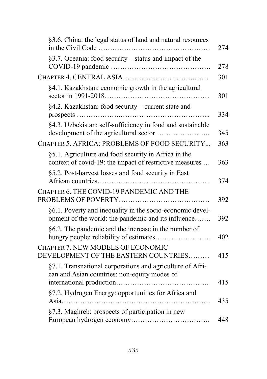| §3.6. China: the legal status of land and natural resources                                                      |
|------------------------------------------------------------------------------------------------------------------|
| §3.7. Oceania: food security - status and impact of the                                                          |
|                                                                                                                  |
| §4.1. Kazakhstan: economic growth in the agricultural                                                            |
| §4.2. Kazakhstan: food security – current state and                                                              |
| §4.3. Uzbekistan: self-sufficiency in food and sustainable                                                       |
| CHAPTER 5. AFRICA: PROBLEMS OF FOOD SECURITY                                                                     |
| §5.1. Agriculture and food security in Africa in the<br>context of covid-19: the impact of restrictive measures  |
| §5.2. Post-harvest losses and food security in East                                                              |
| CHAPTER 6. THE COVID-19 PANDEMIC AND THE                                                                         |
| §6.1. Poverty and inequality in the socio-economic devel-<br>opment of the world: the pandemic and its influence |
| §6.2. The pandemic and the increase in the number of<br>hungry people: reliability of estimates                  |
| CHAPTER 7. NEW MODELS OF ECONOMIC<br>DEVELOPMENT OF THE EASTERN COUNTRIES                                        |
| §7.1. Transnational corporations and agriculture of Afri-<br>can and Asian countries: non-equity modes of        |
| §7.2. Hydrogen Energy: opportunities for Africa and                                                              |
| §7.3. Maghreb: prospects of participation in new                                                                 |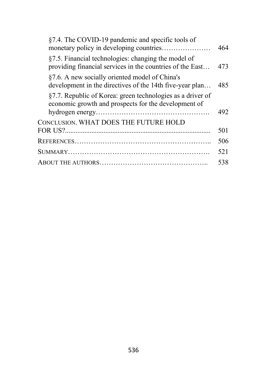| §7.4. The COVID-19 pandemic and specific tools of                                                                  | 464 |
|--------------------------------------------------------------------------------------------------------------------|-----|
| §7.5. Financial technologies: changing the model of<br>providing financial services in the countries of the East   | 473 |
| §7.6. A new socially oriented model of China's<br>development in the directives of the 14th five-year plan         | 485 |
| §7.7. Republic of Korea: green technologies as a driver of<br>economic growth and prospects for the development of | 492 |
| CONCLUSION. WHAT DOES THE FUTURE HOLD                                                                              | 501 |
|                                                                                                                    | 506 |
|                                                                                                                    | 521 |
|                                                                                                                    | 538 |